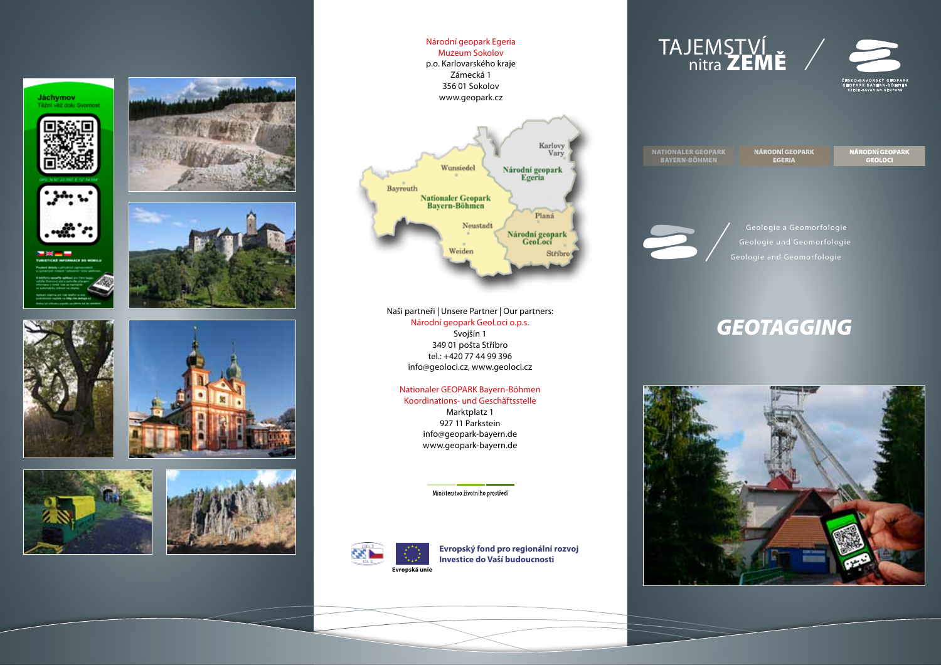













Národní geopark Egeria Muzeum Sokolov p.o. Karlovarského kraje Zámecká 1 356 01 Sokolov www.geopark.cz



Naši partneři | Unsere Partner | Our partners: Národní geopark GeoLoci o.p.s. Svojšín 1 349 01 pošta Stříbro tel.: +420 77 44 99 396 info@geoloci.cz, www.geoloci.cz

#### Nationaler GEOPARK Bayern-Böhmen Koordinations- und Geschäftsstelle

Marktplatz 1 927 11 Parkstein info@geopark-bayern.de www.geopark-bayern.de

Ministerstvo životního prostředí



**Evropský fond pro regionální rozvoj Investice do Vaší budoucnosti**



Geologie a Geomorfologie Geologie und Geomorfologie Geologie and Geomorfologie

# *GEOTAGGING*